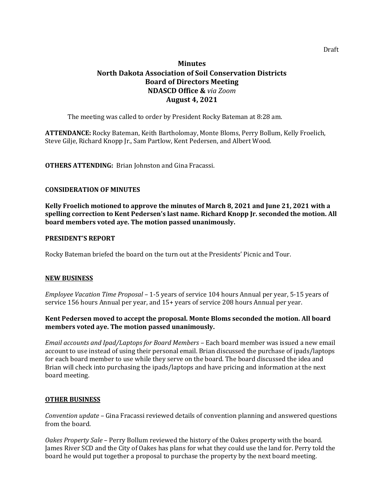# **Minutes North Dakota Association of Soil Conservation Districts Board of Directors Meeting NDASCD Office &** *via Zoom* **August 4, 2021**

The meeting was called to order by President Rocky Bateman at 8:28 am.

**ATTENDANCE:** Rocky Bateman, Keith Bartholomay, Monte Bloms, Perry Bollum, Kelly Froelich, Steve Gilje, Richard Knopp Jr., Sam Partlow, Kent Pedersen, and Albert Wood.

**OTHERS ATTENDING:** Brian Johnston and Gina Fracassi.

## **CONSIDERATION OF MINUTES**

**Kelly Froelich motioned to approve the minutes of March 8, 2021 and June 21, 2021 with a spelling correction to Kent Pedersen's last name. Richard Knopp Jr. seconded the motion. All board members voted aye. The motion passed unanimously.** 

#### **PRESIDENT'S REPORT**

Rocky Bateman briefed the board on the turn out at the Presidents' Picnic and Tour.

#### **NEW BUSINESS**

*Employee Vacation Time Proposal –* 1-5 years of service 104 hours Annual per year, 5-15 years of service 156 hours Annual per year, and 15+ years of service 208 hours Annual per year.

## **Kent Pedersen moved to accept the proposal. Monte Bloms seconded the motion. All board members voted aye. The motion passed unanimously.**

*Email accounts and Ipad/Laptops for Board Members –* Each board member was issued a new email account to use instead of using their personal email. Brian discussed the purchase of ipads/laptops for each board member to use while they serve on the board. The board discussed the idea and Brian will check into purchasing the ipads/laptops and have pricing and information at the next board meeting.

#### **OTHER BUSINESS**

*Convention update –* Gina Fracassi reviewed details of convention planning and answered questions from the board.

*Oakes Property Sale* – Perry Bollum reviewed the history of the Oakes property with the board. James River SCD and the City of Oakes has plans for what they could use the land for. Perry told the board he would put together a proposal to purchase the property by the next board meeting.